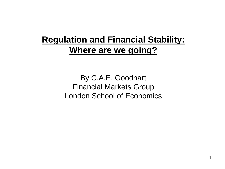# **Regulation and Financial Stability: Where are we going?**

By C.A.E. Goodhart Financial Markets Group London School of Economics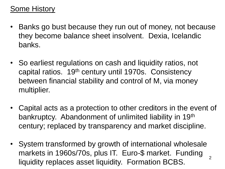## Some History

- Banks go bust because they run out of money, not because they become balance sheet insolvent. Dexia, Icelandic banks.
- So earliest regulations on cash and liquidity ratios, not capital ratios. 19th century until 1970s. Consistency between financial stability and control of M, via money multiplier.
- Capital acts as a protection to other creditors in the event of bankruptcy. Abandonment of unlimited liability in 19th century; replaced by transparency and market discipline.
- 2 • System transformed by growth of international wholesale markets in 1960s/70s, plus IT. Euro-\$ market. Funding liquidity replaces asset liquidity. Formation BCBS.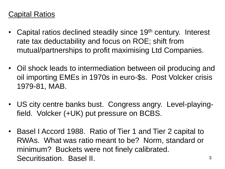#### Capital Ratios

- Capital ratios declined steadily since 19<sup>th</sup> century. Interest rate tax deductability and focus on ROE; shift from mutual/partnerships to profit maximising Ltd Companies.
- Oil shock leads to intermediation between oil producing and oil importing EMEs in 1970s in euro-\$s. Post Volcker crisis 1979-81, MAB.
- US city centre banks bust. Congress angry. Level-playingfield. Volcker (+UK) put pressure on BCBS.
- Basel I Accord 1988. Ratio of Tier 1 and Tier 2 capital to RWAs. What was ratio meant to be? Norm, standard or minimum? Buckets were not finely calibrated. Securitisation. Basel II.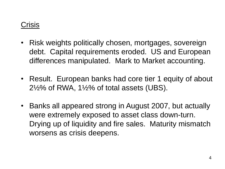## **Crisis**

- Risk weights politically chosen, mortgages, sovereign debt. Capital requirements eroded. US and European differences manipulated. Mark to Market accounting.
- Result. European banks had core tier 1 equity of about  $2\frac{1}{2}\%$  of RWA, 1 $\frac{1}{2}\%$  of total assets (UBS).
- Banks all appeared strong in August 2007, but actually were extremely exposed to asset class down-turn. Drying up of liquidity and fire sales. Maturity mismatch worsens as crisis deepens.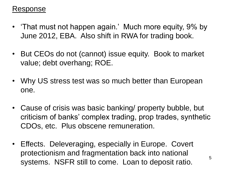#### Response

- 'That must not happen again.' Much more equity, 9% by June 2012, EBA. Also shift in RWA for trading book.
- But CEOs do not (cannot) issue equity. Book to market value; debt overhang; ROE.
- Why US stress test was so much better than European one.
- Cause of crisis was basic banking/ property bubble, but criticism of banks' complex trading, prop trades, synthetic CDOs, etc. Plus obscene remuneration.
- Effects. Deleveraging, especially in Europe. Covert protectionism and fragmentation back into national systems. NSFR still to come. Loan to deposit ratio.